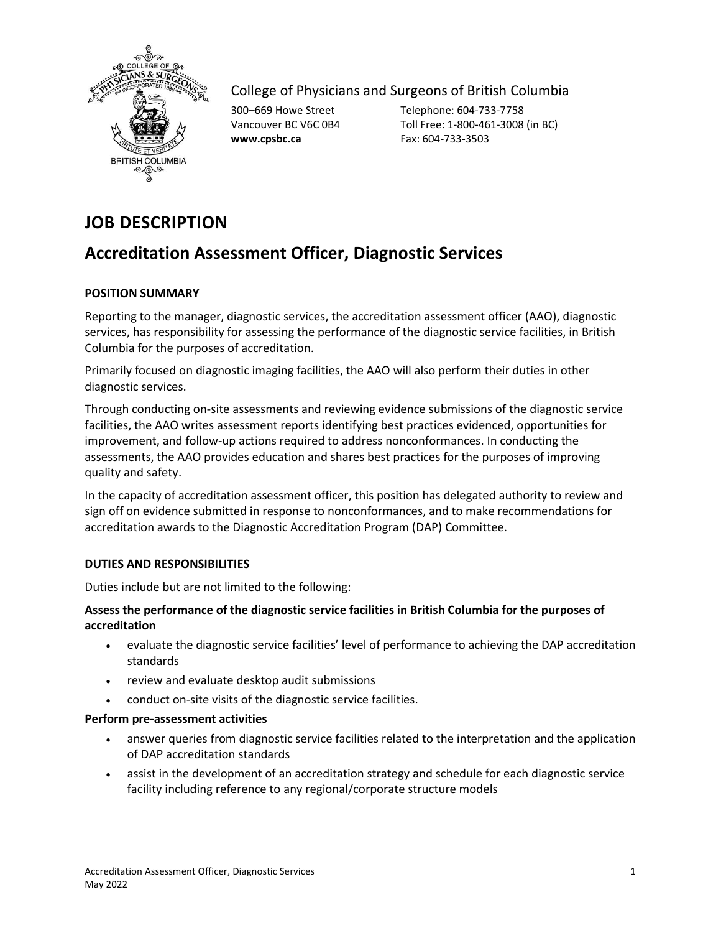

College of Physicians and Surgeons of British Columbia

**www.cpsbc.ca** Fax: 604-733-3503

300–669 Howe Street Telephone: 604-733-7758 Vancouver BC V6C 0B4 Toll Free: 1-800-461-3008 (in BC)

# **JOB DESCRIPTION**

# **Accreditation Assessment Officer, Diagnostic Services**

# **POSITION SUMMARY**

Reporting to the manager, diagnostic services, the accreditation assessment officer (AAO), diagnostic services, has responsibility for assessing the performance of the diagnostic service facilities, in British Columbia for the purposes of accreditation.

Primarily focused on diagnostic imaging facilities, the AAO will also perform their duties in other diagnostic services.

Through conducting on-site assessments and reviewing evidence submissions of the diagnostic service facilities, the AAO writes assessment reports identifying best practices evidenced, opportunities for improvement, and follow-up actions required to address nonconformances. In conducting the assessments, the AAO provides education and shares best practices for the purposes of improving quality and safety.

In the capacity of accreditation assessment officer, this position has delegated authority to review and sign off on evidence submitted in response to nonconformances, and to make recommendations for accreditation awards to the Diagnostic Accreditation Program (DAP) Committee.

# **DUTIES AND RESPONSIBILITIES**

Duties include but are not limited to the following:

# **Assess the performance of the diagnostic service facilities in British Columbia for the purposes of accreditation**

- evaluate the diagnostic service facilities' level of performance to achieving the DAP accreditation standards
- review and evaluate desktop audit submissions
- conduct on-site visits of the diagnostic service facilities.

#### **Perform pre-assessment activities**

- answer queries from diagnostic service facilities related to the interpretation and the application of DAP accreditation standards
- assist in the development of an accreditation strategy and schedule for each diagnostic service facility including reference to any regional/corporate structure models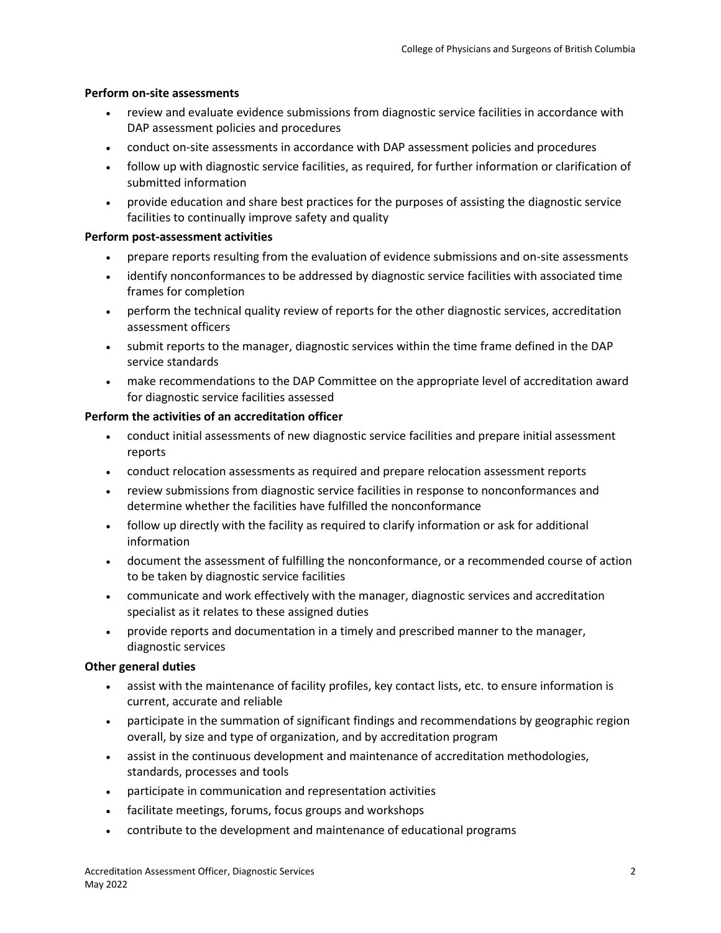### **Perform on-site assessments**

- review and evaluate evidence submissions from diagnostic service facilities in accordance with DAP assessment policies and procedures
- conduct on-site assessments in accordance with DAP assessment policies and procedures
- follow up with diagnostic service facilities, as required, for further information or clarification of submitted information
- provide education and share best practices for the purposes of assisting the diagnostic service facilities to continually improve safety and quality

## **Perform post-assessment activities**

- prepare reports resulting from the evaluation of evidence submissions and on-site assessments
- identify nonconformances to be addressed by diagnostic service facilities with associated time frames for completion
- perform the technical quality review of reports for the other diagnostic services, accreditation assessment officers
- submit reports to the manager, diagnostic services within the time frame defined in the DAP service standards
- make recommendations to the DAP Committee on the appropriate level of accreditation award for diagnostic service facilities assessed

## **Perform the activities of an accreditation officer**

- conduct initial assessments of new diagnostic service facilities and prepare initial assessment reports
- conduct relocation assessments as required and prepare relocation assessment reports
- review submissions from diagnostic service facilities in response to nonconformances and determine whether the facilities have fulfilled the nonconformance
- follow up directly with the facility as required to clarify information or ask for additional information
- document the assessment of fulfilling the nonconformance, or a recommended course of action to be taken by diagnostic service facilities
- communicate and work effectively with the manager, diagnostic services and accreditation specialist as it relates to these assigned duties
- provide reports and documentation in a timely and prescribed manner to the manager, diagnostic services

# **Other general duties**

- assist with the maintenance of facility profiles, key contact lists, etc. to ensure information is current, accurate and reliable
- participate in the summation of significant findings and recommendations by geographic region overall, by size and type of organization, and by accreditation program
- assist in the continuous development and maintenance of accreditation methodologies, standards, processes and tools
- participate in communication and representation activities
- facilitate meetings, forums, focus groups and workshops
- contribute to the development and maintenance of educational programs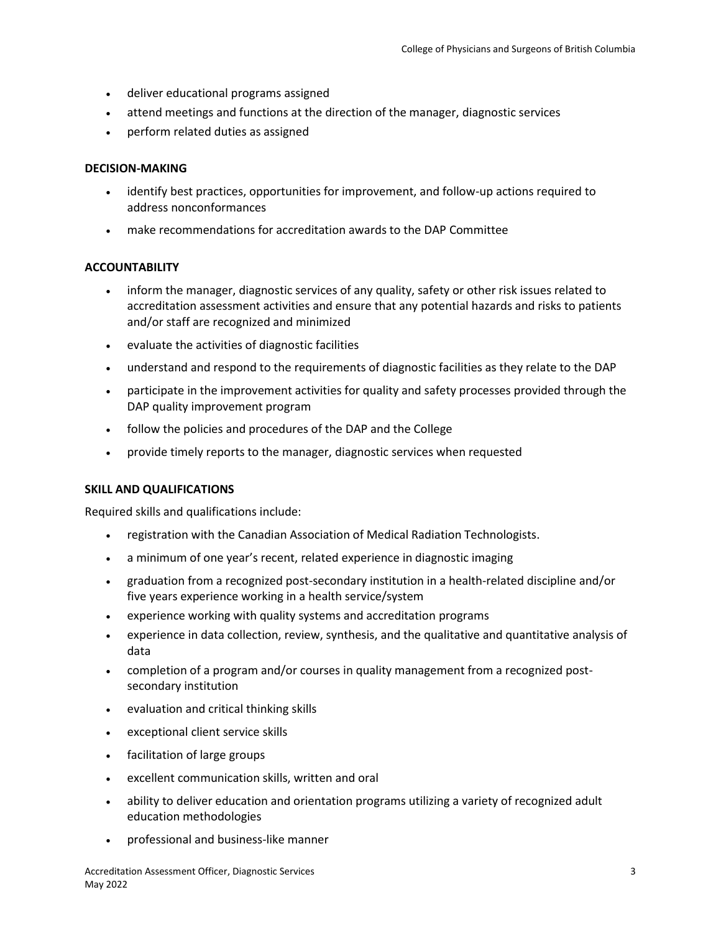- deliver educational programs assigned
- attend meetings and functions at the direction of the manager, diagnostic services
- perform related duties as assigned

#### **DECISION-MAKING**

- identify best practices, opportunities for improvement, and follow-up actions required to address nonconformances
- make recommendations for accreditation awards to the DAP Committee

#### **ACCOUNTABILITY**

- inform the manager, diagnostic services of any quality, safety or other risk issues related to accreditation assessment activities and ensure that any potential hazards and risks to patients and/or staff are recognized and minimized
- evaluate the activities of diagnostic facilities
- understand and respond to the requirements of diagnostic facilities as they relate to the DAP
- participate in the improvement activities for quality and safety processes provided through the DAP quality improvement program
- follow the policies and procedures of the DAP and the College
- provide timely reports to the manager, diagnostic services when requested

#### **SKILL AND QUALIFICATIONS**

Required skills and qualifications include:

- registration with the Canadian Association of Medical Radiation Technologists.
- a minimum of one year's recent, related experience in diagnostic imaging
- graduation from a recognized post-secondary institution in a health-related discipline and/or five years experience working in a health service/system
- experience working with quality systems and accreditation programs
- experience in data collection, review, synthesis, and the qualitative and quantitative analysis of data
- completion of a program and/or courses in quality management from a recognized postsecondary institution
- evaluation and critical thinking skills
- exceptional client service skills
- facilitation of large groups
- excellent communication skills, written and oral
- ability to deliver education and orientation programs utilizing a variety of recognized adult education methodologies
- professional and business-like manner